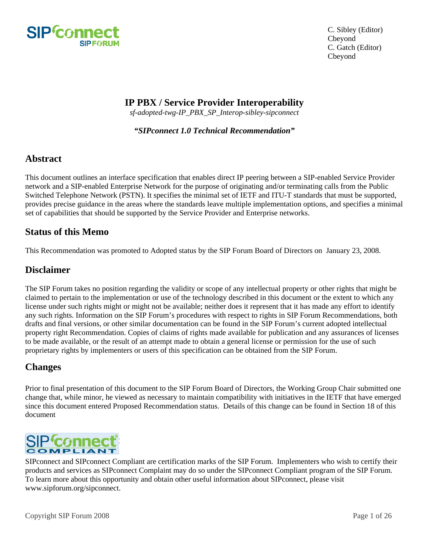

## **IP PBX / Service Provider Interoperability**

*sf-adopted-twg-IP\_PBX\_SP\_Interop-sibley-sipconnect* 

*"SIPconnect 1.0 Technical Recommendation"* 

## **Abstract**

This document outlines an interface specification that enables direct IP peering between a SIP-enabled Service Provider network and a SIP-enabled Enterprise Network for the purpose of originating and/or terminating calls from the Public Switched Telephone Network (PSTN). It specifies the minimal set of IETF and ITU-T standards that must be supported, provides precise guidance in the areas where the standards leave multiple implementation options, and specifies a minimal set of capabilities that should be supported by the Service Provider and Enterprise networks.

## **Status of this Memo**

This Recommendation was promoted to Adopted status by the SIP Forum Board of Directors on January 23, 2008.

## **Disclaimer**

The SIP Forum takes no position regarding the validity or scope of any intellectual property or other rights that might be claimed to pertain to the implementation or use of the technology described in this document or the extent to which any license under such rights might or might not be available; neither does it represent that it has made any effort to identify any such rights. Information on the SIP Forum's procedures with respect to rights in SIP Forum Recommendations, both drafts and final versions, or other similar documentation can be found in the SIP Forum's current adopted intellectual property right Recommendation. Copies of claims of rights made available for publication and any assurances of licenses to be made available, or the result of an attempt made to obtain a general license or permission for the use of such proprietary rights by implementers or users of this specification can be obtained from the SIP Forum.

## **Changes**

Prior to final presentation of this document to the SIP Forum Board of Directors, the Working Group Chair submitted one change that, while minor, he viewed as necessary to maintain compatibility with initiatives in the IETF that have emerged since this document entered Proposed Recommendation status. Details of this change can be found in Section 18 of this document



SIPconnect and SIPconnect Compliant are certification marks of the SIP Forum. Implementers who wish to certify their products and services as SIPconnect Complaint may do so under the SIPconnect Compliant program of the SIP Forum. To learn more about this opportunity and obtain other useful information about SIPconnect, please visit www.sipforum.org/sipconnect.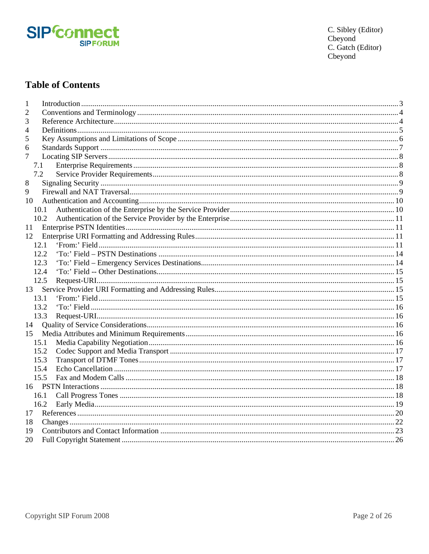

C. Sibley (Editor)<br>Cbeyond C. Gatch (Editor)<br>Cbeyond

# **Table of Contents**

| 1   |      |  |
|-----|------|--|
| 2   |      |  |
| 3   |      |  |
| 4   |      |  |
| 5   |      |  |
| 6   |      |  |
| 7   |      |  |
| 7.1 |      |  |
| 7.2 |      |  |
| 8   |      |  |
| 9   |      |  |
| 10  |      |  |
|     | 10.1 |  |
|     | 10.2 |  |
| 11  |      |  |
| 12  |      |  |
|     | 12.1 |  |
|     | 12.2 |  |
|     | 12.3 |  |
|     | 12.4 |  |
|     | 12.5 |  |
|     |      |  |
|     | 13.1 |  |
|     | 13.2 |  |
|     | 13.3 |  |
| 14  |      |  |
|     |      |  |
|     | 15.1 |  |
|     | 15.2 |  |
|     | 15.3 |  |
|     | 15.4 |  |
|     | 15.5 |  |
|     |      |  |
|     | 16.1 |  |
|     | 16.2 |  |
| 17  |      |  |
| 18  |      |  |
| 19  |      |  |
| 20  |      |  |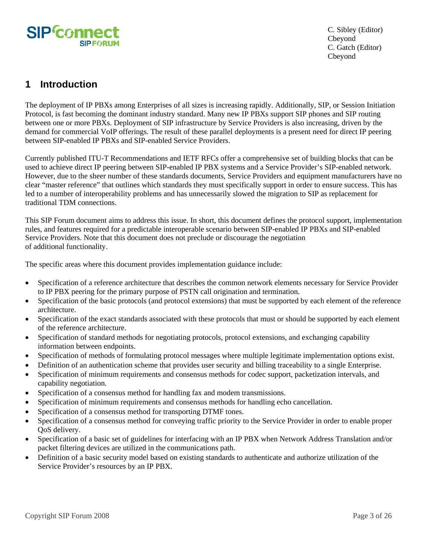<span id="page-2-0"></span>

## **1 Introduction**

The deployment of IP PBXs among Enterprises of all sizes is increasing rapidly. Additionally, SIP, or Session Initiation Protocol, is fast becoming the dominant industry standard. Many new IP PBXs support SIP phones and SIP routing between one or more PBXs. Deployment of SIP infrastructure by Service Providers is also increasing, driven by the demand for commercial VoIP offerings. The result of these parallel deployments is a present need for direct IP peering between SIP-enabled IP PBXs and SIP-enabled Service Providers.

Currently published ITU-T Recommendations and IETF RFCs offer a comprehensive set of building blocks that can be used to achieve direct IP peering between SIP-enabled IP PBX systems and a Service Provider's SIP-enabled network. However, due to the sheer number of these standards documents, Service Providers and equipment manufacturers have no clear "master reference" that outlines which standards they must specifically support in order to ensure success. This has led to a number of interoperability problems and has unnecessarily slowed the migration to SIP as replacement for traditional TDM connections.

This SIP Forum document aims to address this issue. In short, this document defines the protocol support, implementation rules, and features required for a predictable interoperable scenario between SIP-enabled IP PBXs and SIP-enabled Service Providers. Note that this document does not preclude or discourage the negotiation of additional functionality.

The specific areas where this document provides implementation guidance include:

- Specification of a reference architecture that describes the common network elements necessary for Service Provider to IP PBX peering for the primary purpose of PSTN call origination and termination.
- Specification of the basic protocols (and protocol extensions) that must be supported by each element of the reference architecture.
- Specification of the exact standards associated with these protocols that must or should be supported by each element of the reference architecture.
- Specification of standard methods for negotiating protocols, protocol extensions, and exchanging capability information between endpoints.
- Specification of methods of formulating protocol messages where multiple legitimate implementation options exist.
- Definition of an authentication scheme that provides user security and billing traceability to a single Enterprise.
- Specification of minimum requirements and consensus methods for codec support, packetization intervals, and capability negotiation.
- Specification of a consensus method for handling fax and modem transmissions.
- Specification of minimum requirements and consensus methods for handling echo cancellation.
- Specification of a consensus method for transporting DTMF tones.
- Specification of a consensus method for conveying traffic priority to the Service Provider in order to enable proper QoS delivery.
- Specification of a basic set of guidelines for interfacing with an IP PBX when Network Address Translation and/or packet filtering devices are utilized in the communications path.
- Definition of a basic security model based on existing standards to authenticate and authorize utilization of the Service Provider's resources by an IP PBX.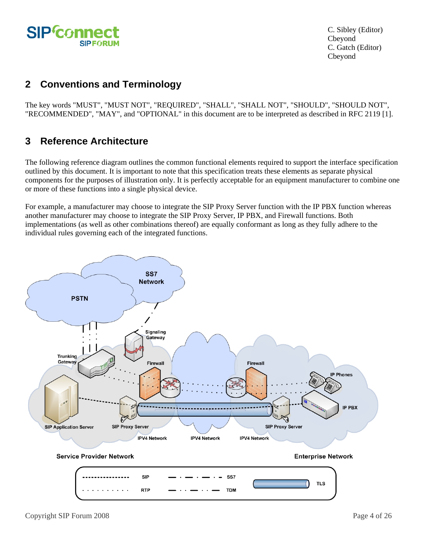<span id="page-3-0"></span>

# **2 Conventions and Terminology**

The key words "MUST", "MUST NOT", "REQUIRED", "SHALL", "SHALL NOT", "SHOULD", "SHOULD NOT", "RECOMMENDED", "MAY", and "OPTIONAL" in this document are to be interpreted as described in RFC 2119 [1].

## **3 Reference Architecture**

The following reference diagram outlines the common functional elements required to support the interface specification outlined by this document. It is important to note that this specification treats these elements as separate physical components for the purposes of illustration only. It is perfectly acceptable for an equipment manufacturer to combine one or more of these functions into a single physical device.

For example, a manufacturer may choose to integrate the SIP Proxy Server function with the IP PBX function whereas another manufacturer may choose to integrate the SIP Proxy Server, IP PBX, and Firewall functions. Both implementations (as well as other combinations thereof) are equally conformant as long as they fully adhere to the individual rules governing each of the integrated functions.

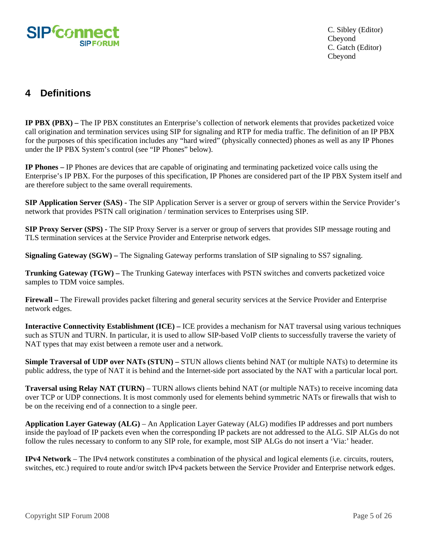<span id="page-4-0"></span>

# **4 Definitions**

**IP PBX (PBX) –** The IP PBX constitutes an Enterprise's collection of network elements that provides packetized voice call origination and termination services using SIP for signaling and RTP for media traffic. The definition of an IP PBX for the purposes of this specification includes any "hard wired" (physically connected) phones as well as any IP Phones under the IP PBX System's control (see "IP Phones" below).

**IP Phones –** IP Phones are devices that are capable of originating and terminating packetized voice calls using the Enterprise's IP PBX. For the purposes of this specification, IP Phones are considered part of the IP PBX System itself and are therefore subject to the same overall requirements.

**SIP Application Server (SAS) -** The SIP Application Server is a server or group of servers within the Service Provider's network that provides PSTN call origination / termination services to Enterprises using SIP.

**SIP Proxy Server (SPS) -** The SIP Proxy Server is a server or group of servers that provides SIP message routing and TLS termination services at the Service Provider and Enterprise network edges.

**Signaling Gateway (SGW)** – The Signaling Gateway performs translation of SIP signaling to SS7 signaling.

**Trunking Gateway (TGW) –** The Trunking Gateway interfaces with PSTN switches and converts packetized voice samples to TDM voice samples.

**Firewall –** The Firewall provides packet filtering and general security services at the Service Provider and Enterprise network edges.

**Interactive Connectivity Establishment (ICE) –** ICE provides a mechanism for NAT traversal using various techniques such as STUN and TURN. In particular, it is used to allow SIP-based VoIP clients to successfully traverse the variety of NAT types that may exist between a remote user and a network.

**Simple Traversal of UDP over NATs (STUN) – STUN allows clients behind NAT (or multiple NATs) to determine its** public address, the type of NAT it is behind and the Internet-side port associated by the NAT with a particular local port.

**Traversal using Relay NAT (TURN)** – TURN allows clients behind NAT (or multiple NATs) to receive incoming data over TCP or UDP connections. It is most commonly used for elements behind symmetric NATs or firewalls that wish to be on the receiving end of a connection to a single peer.

**Application Layer Gateway (ALG)** – An Application Layer Gateway (ALG) modifies IP addresses and port numbers inside the payload of IP packets even when the corresponding IP packets are not addressed to the ALG. SIP ALGs do not follow the rules necessary to conform to any SIP role, for example, most SIP ALGs do not insert a 'Via:' header.

**IPv4 Network** – The IPv4 network constitutes a combination of the physical and logical elements (i.e. circuits, routers, switches, etc.) required to route and/or switch IPv4 packets between the Service Provider and Enterprise network edges.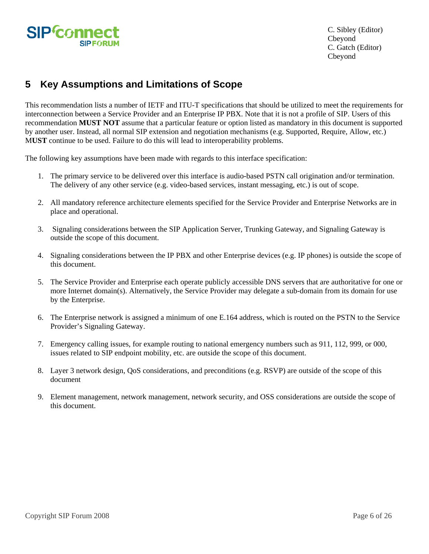<span id="page-5-0"></span>

# **5 Key Assumptions and Limitations of Scope**

This recommendation lists a number of IETF and ITU-T specifications that should be utilized to meet the requirements for interconnection between a Service Provider and an Enterprise IP PBX. Note that it is not a profile of SIP. Users of this recommendation **MUST NOT** assume that a particular feature or option listed as mandatory in this document is supported by another user. Instead, all normal SIP extension and negotiation mechanisms (e.g. Supported, Require, Allow, etc.) M**UST** continue to be used. Failure to do this will lead to interoperability problems.

The following key assumptions have been made with regards to this interface specification:

- 1. The primary service to be delivered over this interface is audio-based PSTN call origination and/or termination. The delivery of any other service (e.g. video-based services, instant messaging, etc.) is out of scope.
- 2. All mandatory reference architecture elements specified for the Service Provider and Enterprise Networks are in place and operational.
- 3. Signaling considerations between the SIP Application Server, Trunking Gateway, and Signaling Gateway is outside the scope of this document.
- 4. Signaling considerations between the IP PBX and other Enterprise devices (e.g. IP phones) is outside the scope of this document.
- 5. The Service Provider and Enterprise each operate publicly accessible DNS servers that are authoritative for one or more Internet domain(s). Alternatively, the Service Provider may delegate a sub-domain from its domain for use by the Enterprise.
- 6. The Enterprise network is assigned a minimum of one E.164 address, which is routed on the PSTN to the Service Provider's Signaling Gateway.
- 7. Emergency calling issues, for example routing to national emergency numbers such as 911, 112, 999, or 000, issues related to SIP endpoint mobility, etc. are outside the scope of this document.
- 8. Layer 3 network design, QoS considerations, and preconditions (e.g. RSVP) are outside of the scope of this document
- 9. Element management, network management, network security, and OSS considerations are outside the scope of this document.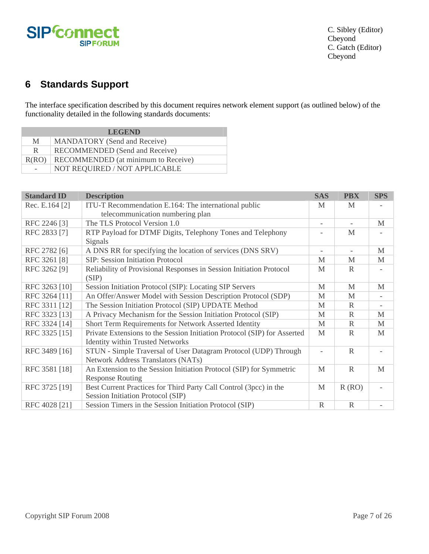<span id="page-6-0"></span>

# **6 Standards Support**

The interface specification described by this document requires network element support (as outlined below) of the functionality detailed in the following standards documents:

| <b>LEGEND</b> |                                     |  |  |  |  |  |  |
|---------------|-------------------------------------|--|--|--|--|--|--|
| M             | <b>MANDATORY</b> (Send and Receive) |  |  |  |  |  |  |
| R.            | RECOMMENDED (Send and Receive)      |  |  |  |  |  |  |
| R(RO)         | RECOMMENDED (at minimum to Receive) |  |  |  |  |  |  |
|               | NOT REQUIRED / NOT APPLICABLE       |  |  |  |  |  |  |

| <b>Standard ID</b> | <b>Description</b>                                                       | <b>SAS</b>               | <b>PBX</b>               | <b>SPS</b>               |
|--------------------|--------------------------------------------------------------------------|--------------------------|--------------------------|--------------------------|
| Rec. E.164 [2]     | ITU-T Recommendation E.164: The international public                     | M                        | M                        |                          |
|                    | telecommunication numbering plan                                         |                          |                          |                          |
| RFC 2246 [3]       | The TLS Protocol Version 1.0                                             | $\overline{\phantom{a}}$ | $\overline{\phantom{a}}$ | M                        |
| RFC 2833 [7]       | RTP Payload for DTMF Digits, Telephony Tones and Telephony               |                          | $\mathbf{M}$             |                          |
|                    | Signals                                                                  |                          |                          |                          |
| RFC 2782 [6]       | A DNS RR for specifying the location of services (DNS SRV)               | $\overline{\phantom{a}}$ | $\overline{\phantom{a}}$ | $\mathbf{M}$             |
| RFC 3261 [8]       | SIP: Session Initiation Protocol                                         | M                        | M                        | M                        |
| RFC 3262 [9]       | Reliability of Provisional Responses in Session Initiation Protocol      | $\mathbf{M}$             | R                        | $\overline{\phantom{a}}$ |
|                    | (SIP)                                                                    |                          |                          |                          |
| RFC 3263 [10]      | Session Initiation Protocol (SIP): Locating SIP Servers                  | M                        | M                        | M                        |
| RFC 3264 [11]      | An Offer/Answer Model with Session Description Protocol (SDP)            | M                        | M                        |                          |
| RFC 3311 [12]      | The Session Initiation Protocol (SIP) UPDATE Method                      | M                        | R                        | $\overline{\phantom{a}}$ |
| RFC 3323 [13]      | A Privacy Mechanism for the Session Initiation Protocol (SIP)            | M                        | R                        | $\mathbf{M}$             |
| RFC 3324 [14]      | Short Term Requirements for Network Asserted Identity                    | M                        | R                        | M                        |
| RFC 3325 [15]      | Private Extensions to the Session Initiation Protocol (SIP) for Asserted | $\mathbf{M}$             | R                        | $\mathbf{M}$             |
|                    | <b>Identity within Trusted Networks</b>                                  |                          |                          |                          |
| RFC 3489 [16]      | STUN - Simple Traversal of User Datagram Protocol (UDP) Through          | $\overline{a}$           | $\mathbb{R}$             |                          |
|                    | Network Address Translators (NATs)                                       |                          |                          |                          |
| RFC 3581 [18]      | An Extension to the Session Initiation Protocol (SIP) for Symmetric      | $\mathbf{M}$             | $\mathbb{R}$             | $\mathbf{M}$             |
|                    | <b>Response Routing</b>                                                  |                          |                          |                          |
| RFC 3725 [19]      | Best Current Practices for Third Party Call Control (3pcc) in the        | $\mathbf{M}$             | R(RO)                    |                          |
|                    | Session Initiation Protocol (SIP)                                        |                          |                          |                          |
| RFC 4028 [21]      | Session Timers in the Session Initiation Protocol (SIP)                  | $\mathbb{R}$             | $\mathbb{R}$             |                          |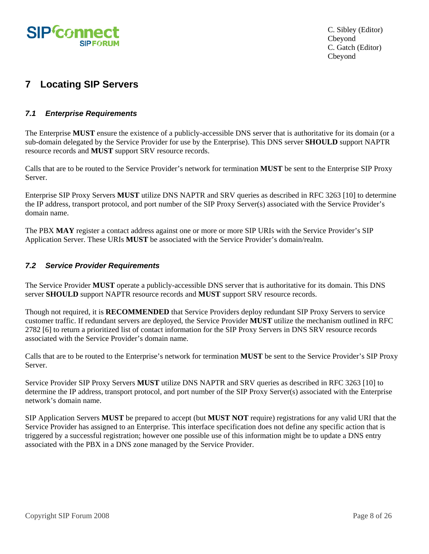<span id="page-7-0"></span>

# **7 Locating SIP Servers**

## *7.1 Enterprise Requirements*

The Enterprise **MUST** ensure the existence of a publicly-accessible DNS server that is authoritative for its domain (or a sub-domain delegated by the Service Provider for use by the Enterprise). This DNS server **SHOULD** support NAPTR resource records and **MUST** support SRV resource records.

Calls that are to be routed to the Service Provider's network for termination **MUST** be sent to the Enterprise SIP Proxy Server.

Enterprise SIP Proxy Servers **MUST** utilize DNS NAPTR and SRV queries as described in RFC 3263 [10] to determine the IP address, transport protocol, and port number of the SIP Proxy Server(s) associated with the Service Provider's domain name.

The PBX **MAY** register a contact address against one or more or more SIP URIs with the Service Provider's SIP Application Server. These URIs **MUST** be associated with the Service Provider's domain/realm.

#### *7.2 Service Provider Requirements*

The Service Provider **MUST** operate a publicly-accessible DNS server that is authoritative for its domain. This DNS server **SHOULD** support NAPTR resource records and **MUST** support SRV resource records.

Though not required, it is **RECOMMENDED** that Service Providers deploy redundant SIP Proxy Servers to service customer traffic. If redundant servers are deployed, the Service Provider **MUST** utilize the mechanism outlined in RFC 2782 [6] to return a prioritized list of contact information for the SIP Proxy Servers in DNS SRV resource records associated with the Service Provider's domain name.

Calls that are to be routed to the Enterprise's network for termination **MUST** be sent to the Service Provider's SIP Proxy Server.

Service Provider SIP Proxy Servers **MUST** utilize DNS NAPTR and SRV queries as described in RFC 3263 [10] to determine the IP address, transport protocol, and port number of the SIP Proxy Server(s) associated with the Enterprise network's domain name.

SIP Application Servers **MUST** be prepared to accept (but **MUST NOT** require) registrations for any valid URI that the Service Provider has assigned to an Enterprise. This interface specification does not define any specific action that is triggered by a successful registration; however one possible use of this information might be to update a DNS entry associated with the PBX in a DNS zone managed by the Service Provider.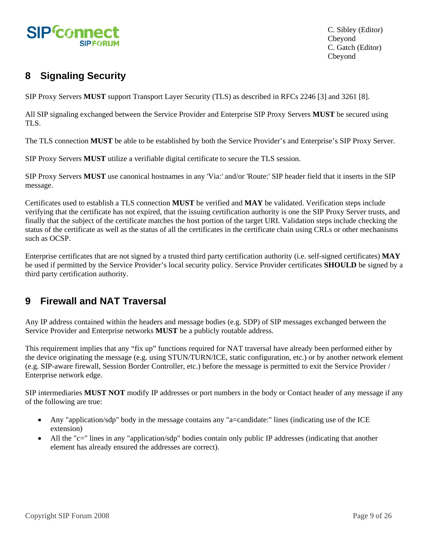<span id="page-8-0"></span>

# **8 Signaling Security**

SIP Proxy Servers **MUST** support Transport Layer Security (TLS) as described in RFCs 2246 [3] and 3261 [8].

All SIP signaling exchanged between the Service Provider and Enterprise SIP Proxy Servers **MUST** be secured using TLS.

The TLS connection **MUST** be able to be established by both the Service Provider's and Enterprise's SIP Proxy Server.

SIP Proxy Servers **MUST** utilize a verifiable digital certificate to secure the TLS session.

SIP Proxy Servers **MUST** use canonical hostnames in any 'Via:' and/or 'Route:' SIP header field that it inserts in the SIP message.

Certificates used to establish a TLS connection **MUST** be verified and **MAY** be validated. Verification steps include verifying that the certificate has not expired, that the issuing certification authority is one the SIP Proxy Server trusts, and finally that the subject of the certificate matches the host portion of the target URI. Validation steps include checking the status of the certificate as well as the status of all the certificates in the certificate chain using CRLs or other mechanisms such as OCSP.

Enterprise certificates that are not signed by a trusted third party certification authority (i.e. self-signed certificates) **MAY** be used if permitted by the Service Provider's local security policy. Service Provider certificates **SHOULD** be signed by a third party certification authority.

# **9 Firewall and NAT Traversal**

Any IP address contained within the headers and message bodies (e.g. SDP) of SIP messages exchanged between the Service Provider and Enterprise networks **MUST** be a publicly routable address.

This requirement implies that any "fix up" functions required for NAT traversal have already been performed either by the device originating the message (e.g. using STUN/TURN/ICE, static configuration, etc.) or by another network element (e.g. SIP-aware firewall, Session Border Controller, etc.) before the message is permitted to exit the Service Provider / Enterprise network edge.

SIP intermediaries **MUST NOT** modify IP addresses or port numbers in the body or Contact header of any message if any of the following are true:

- Any "application/sdp" body in the message contains any "a=candidate:" lines (indicating use of the ICE extension)
- All the "c=" lines in any "application/sdp" bodies contain only public IP addresses (indicating that another element has already ensured the addresses are correct).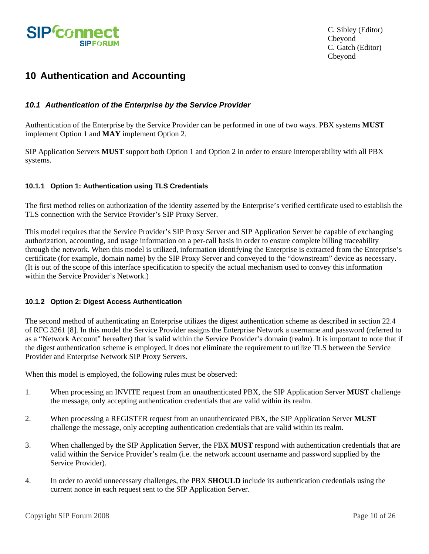<span id="page-9-0"></span>

# **10 Authentication and Accounting**

### *10.1 Authentication of the Enterprise by the Service Provider*

Authentication of the Enterprise by the Service Provider can be performed in one of two ways. PBX systems **MUST** implement Option 1 and **MAY** implement Option 2.

SIP Application Servers **MUST** support both Option 1 and Option 2 in order to ensure interoperability with all PBX systems.

#### **10.1.1 Option 1: Authentication using TLS Credentials**

The first method relies on authorization of the identity asserted by the Enterprise's verified certificate used to establish the TLS connection with the Service Provider's SIP Proxy Server.

This model requires that the Service Provider's SIP Proxy Server and SIP Application Server be capable of exchanging authorization, accounting, and usage information on a per-call basis in order to ensure complete billing traceability through the network. When this model is utilized, information identifying the Enterprise is extracted from the Enterprise's certificate (for example, domain name) by the SIP Proxy Server and conveyed to the "downstream" device as necessary. (It is out of the scope of this interface specification to specify the actual mechanism used to convey this information within the Service Provider's Network.)

#### **10.1.2 Option 2: Digest Access Authentication**

The second method of authenticating an Enterprise utilizes the digest authentication scheme as described in section 22.4 of RFC 3261 [8]. In this model the Service Provider assigns the Enterprise Network a username and password (referred to as a "Network Account" hereafter) that is valid within the Service Provider's domain (realm). It is important to note that if the digest authentication scheme is employed, it does not eliminate the requirement to utilize TLS between the Service Provider and Enterprise Network SIP Proxy Servers.

When this model is employed, the following rules must be observed:

- 1. When processing an INVITE request from an unauthenticated PBX, the SIP Application Server **MUST** challenge the message, only accepting authentication credentials that are valid within its realm.
- 2. When processing a REGISTER request from an unauthenticated PBX, the SIP Application Server **MUST**  challenge the message, only accepting authentication credentials that are valid within its realm.
- 3. When challenged by the SIP Application Server, the PBX **MUST** respond with authentication credentials that are valid within the Service Provider's realm (i.e. the network account username and password supplied by the Service Provider).
- 4. In order to avoid unnecessary challenges, the PBX **SHOULD** include its authentication credentials using the current nonce in each request sent to the SIP Application Server.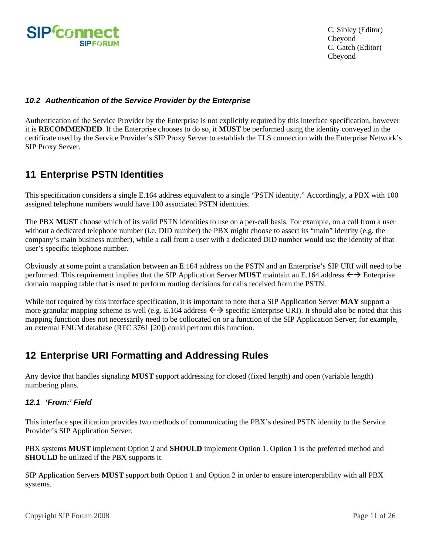<span id="page-10-0"></span>

### *10.2 Authentication of the Service Provider by the Enterprise*

Authentication of the Service Provider by the Enterprise is not explicitly required by this interface specification, however it is **RECOMMENDED**. If the Enterprise chooses to do so, it **MUST** be performed using the identity conveyed in the certificate used by the Service Provider's SIP Proxy Server to establish the TLS connection with the Enterprise Network's SIP Proxy Server.

# **11 Enterprise PSTN Identities**

This specification considers a single E.164 address equivalent to a single "PSTN identity." Accordingly, a PBX with 100 assigned telephone numbers would have 100 associated PSTN identities.

The PBX **MUST** choose which of its valid PSTN identities to use on a per-call basis. For example, on a call from a user without a dedicated telephone number (i.e. DID number) the PBX might choose to assert its "main" identity (e.g. the company's main business number), while a call from a user with a dedicated DID number would use the identity of that user's specific telephone number.

Obviously at some point a translation between an E.164 address on the PSTN and an Enterprise's SIP URI will need to be performed. This requirement implies that the SIP Application Server **MUST** maintain an E.164 address  $\leftrightarrow$  Enterprise domain mapping table that is used to perform routing decisions for calls received from the PSTN.

While not required by this interface specification, it is important to note that a SIP Application Server **MAY** support a more granular mapping scheme as well (e.g. E.164 address  $\leftrightarrow$  specific Enterprise URI). It should also be noted that this mapping function does not necessarily need to be collocated on or a function of the SIP Application Server; for example, an external ENUM database (RFC 3761 [20]) could perform this function.

# **12 Enterprise URI Formatting and Addressing Rules**

Any device that handles signaling **MUST** support addressing for closed (fixed length) and open (variable length) numbering plans.

## *12.1 'From:' Field*

This interface specification provides two methods of communicating the PBX's desired PSTN identity to the Service Provider's SIP Application Server.

PBX systems **MUST** implement Option 2 and **SHOULD** implement Option 1. Option 1 is the preferred method and **SHOULD** be utilized if the PBX supports it.

SIP Application Servers **MUST** support both Option 1 and Option 2 in order to ensure interoperability with all PBX systems.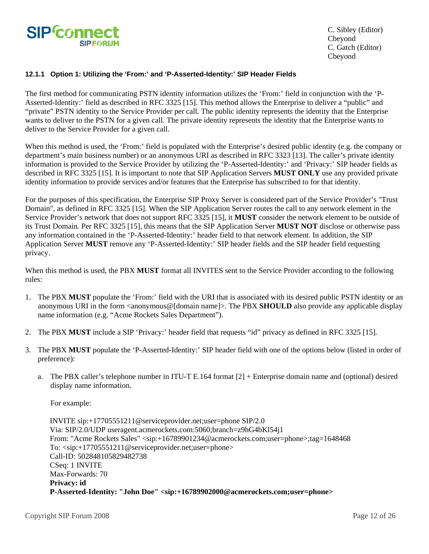

#### **12.1.1 Option 1: Utilizing the 'From:' and 'P-Asserted-Identity:' SIP Header Fields**

The first method for communicating PSTN identity information utilizes the 'From:' field in conjunction with the 'P-Asserted-Identity:' field as described in RFC 3325 [15]. This method allows the Enterprise to deliver a "public" and "private" PSTN identity to the Service Provider per call. The public identity represents the identity that the Enterprise wants to deliver to the PSTN for a given call. The private identity represents the identity that the Enterprise wants to deliver to the Service Provider for a given call.

When this method is used, the 'From:' field is populated with the Enterprise's desired public identity (e.g. the company or department's main business number) or an anonymous URI as described in RFC 3323 [13]. The caller's private identity information is provided to the Service Provider by utilizing the 'P-Asserted-Identity:' and 'Privacy:' SIP header fields as described in RFC 3325 [15]. It is important to note that SIP Application Servers **MUST ONLY** use any provided private identity information to provide services and/or features that the Enterprise has subscribed to for that identity.

For the purposes of this specification, the Enterprise SIP Proxy Server is considered part of the Service Provider's "Trust Domain", as defined in RFC 3325 [15]. When the SIP Application Server routes the call to any network element in the Service Provider's network that does not support RFC 3325 [15], it **MUST** consider the network element to be outside of its Trust Domain. Per RFC 3325 [15], this means that the SIP Application Server **MUST NOT** disclose or otherwise pass any information contained in the 'P-Asserted-Identity:' header field to that network element. In addition, the SIP Application Server **MUST** remove any 'P-Asserted-Identity:' SIP header fields and the SIP header field requesting privacy.

When this method is used, the PBX **MUST** format all INVITES sent to the Service Provider according to the following rules:

- 1. The PBX **MUST** populate the 'From:' field with the URI that is associated with its desired public PSTN identity or an anonymous URI in the form <anonymous@[domain name]>. The PBX **SHOULD** also provide any applicable display name information (e.g. "Acme Rockets Sales Department").
- 2. The PBX **MUST** include a SIP 'Privacy:' header field that requests "id" privacy as defined in RFC 3325 [15].
- 3. The PBX **MUST** populate the 'P-Asserted-Identity:' SIP header field with one of the options below (listed in order of preference):
	- a. The PBX caller's telephone number in ITU-T E.164 format [2] + Enterprise domain name and (optional) desired display name information.

For example:

 INVITE sip:+17705551211@serviceprovider.net;user=phone SIP/2.0 Via: SIP/2.0/UDP useragent.acmerockets.com:5060;branch=z9hG4bKl54j1 From: "Acme Rockets Sales" <sip:+16789901234@acmerockets.com;user=phone>;tag=1648468 To: <sip:+17705551211@serviceprovider.net;user=phone> Call-ID: 502848105829482738 CSeq: 1 INVITE Max-Forwards: 70 **Privacy: id P-Asserted-Identity: "John Doe" <sip:+16789902000@acmerockets.com;user=phone>**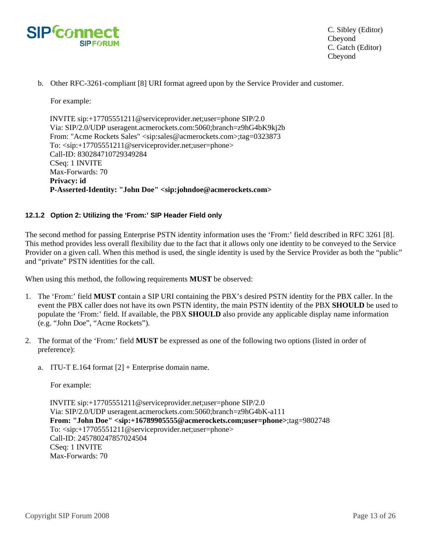

b. Other RFC-3261-compliant [8] URI format agreed upon by the Service Provider and customer.

For example:

 INVITE sip:+17705551211@serviceprovider.net;user=phone SIP/2.0 Via: SIP/2.0/UDP useragent.acmerockets.com:5060;branch=z9hG4bK9kj2b From: "Acme Rockets Sales" <sip:sales@acmerockets.com>;tag=0323873 To: <sip:+17705551211@serviceprovider.net;user=phone> Call-ID: 830284710729349284 CSeq: 1 INVITE Max-Forwards: 70 **Privacy: id P-Asserted-Identity: "John Doe" <sip:johndoe@acmerockets.com>**

#### **12.1.2 Option 2: Utilizing the 'From:' SIP Header Field only**

The second method for passing Enterprise PSTN identity information uses the 'From:' field described in RFC 3261 [8]. This method provides less overall flexibility due to the fact that it allows only one identity to be conveyed to the Service Provider on a given call. When this method is used, the single identity is used by the Service Provider as both the "public" and "private" PSTN identities for the call.

When using this method, the following requirements **MUST** be observed:

- 1. The 'From:' field **MUST** contain a SIP URI containing the PBX's desired PSTN identity for the PBX caller. In the event the PBX caller does not have its own PSTN identity, the main PSTN identity of the PBX **SHOULD** be used to populate the 'From:' field. If available, the PBX **SHOULD** also provide any applicable display name information (e.g. "John Doe", "Acme Rockets").
- 2. The format of the 'From:' field **MUST** be expressed as one of the following two options (listed in order of preference):
	- a. ITU-T E.164 format  $[2]$  + Enterprise domain name.

For example:

 INVITE sip:+17705551211@serviceprovider.net;user=phone SIP/2.0 Via: SIP/2.0/UDP useragent.acmerockets.com:5060;branch=z9hG4bK-a111 **From: "John Doe" <sip:+16789905555@acmerockets.com;user=phone>**;tag=9802748 To: <sip:+17705551211@serviceprovider.net;user=phone> Call-ID: 245780247857024504 CSeq: 1 INVITE Max-Forwards: 70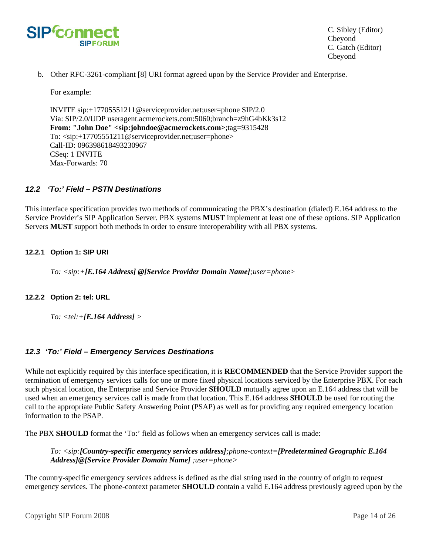<span id="page-13-0"></span>

b. Other RFC-3261-compliant [8] URI format agreed upon by the Service Provider and Enterprise.

For example:

 INVITE sip:+17705551211@serviceprovider.net;user=phone SIP/2.0 Via: SIP/2.0/UDP useragent.acmerockets.com:5060;branch=z9hG4bKk3s12 **From: "John Doe" <sip:johndoe@acmerockets.com>**;tag=9315428 To: <sip:+17705551211@serviceprovider.net;user=phone> Call-ID: 096398618493230967 CSeq: 1 INVITE Max-Forwards: 70

#### *12.2 'To:' Field – PSTN Destinations*

This interface specification provides two methods of communicating the PBX's destination (dialed) E.164 address to the Service Provider's SIP Application Server. PBX systems **MUST** implement at least one of these options. SIP Application Servers **MUST** support both methods in order to ensure interoperability with all PBX systems.

#### **12.2.1 Option 1: SIP URI**

*To: <sip:+[E.164 Address] @[Service Provider Domain Name];user=phone>* 

#### **12.2.2 Option 2: tel: URL**

*To: <tel:+[E.164 Address] >* 

#### *12.3 'To:' Field – Emergency Services Destinations*

While not explicitly required by this interface specification, it is **RECOMMENDED** that the Service Provider support the termination of emergency services calls for one or more fixed physical locations serviced by the Enterprise PBX. For each such physical location, the Enterprise and Service Provider **SHOULD** mutually agree upon an E.164 address that will be used when an emergency services call is made from that location. This E.164 address **SHOULD** be used for routing the call to the appropriate Public Safety Answering Point (PSAP) as well as for providing any required emergency location information to the PSAP.

The PBX **SHOULD** format the 'To:' field as follows when an emergency services call is made:

*To: <sip:[Country-specific emergency services address];phone-context=[Predetermined Geographic E.164 Address]@[Service Provider Domain Name] ;user=phone>* 

The country-specific emergency services address is defined as the dial string used in the country of origin to request emergency services. The phone-context parameter **SHOULD** contain a valid E.164 address previously agreed upon by the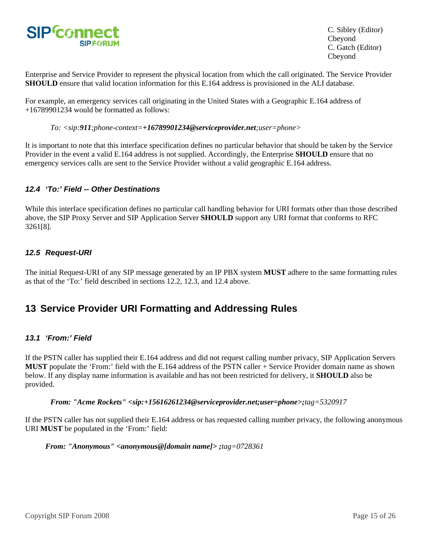<span id="page-14-0"></span>

Enterprise and Service Provider to represent the physical location from which the call originated. The Service Provider **SHOULD** ensure that valid location information for this E.164 address is provisioned in the ALI database.

For example, an emergency services call originating in the United States with a Geographic E.164 address of +16789901234 would be formatted as follows:

*To: <sip:911;phone-context=+16789901234@serviceprovider.net;user=phone>* 

It is important to note that this interface specification defines no particular behavior that should be taken by the Service Provider in the event a valid E.164 address is not supplied. Accordingly, the Enterprise **SHOULD** ensure that no emergency services calls are sent to the Service Provider without a valid geographic E.164 address.

### *12.4 'To:' Field -- Other Destinations*

While this interface specification defines no particular call handling behavior for URI formats other than those described above, the SIP Proxy Server and SIP Application Server **SHOULD** support any URI format that conforms to RFC 3261[8].

### *12.5 Request-URI*

The initial Request-URI of any SIP message generated by an IP PBX system **MUST** adhere to the same formatting rules as that of the 'To:' field described in sections 12.2, 12.3, and 12.4 above.

## **13 Service Provider URI Formatting and Addressing Rules**

#### *13.1 'From:' Field*

If the PSTN caller has supplied their E.164 address and did not request calling number privacy, SIP Application Servers **MUST** populate the 'From:' field with the E.164 address of the PSTN caller + Service Provider domain name as shown below. If any display name information is available and has not been restricted for delivery, it **SHOULD** also be provided.

*From: "Acme Rockets" <sip:+15616261234@serviceprovider.net;user=phone>;tag=5320917*

If the PSTN caller has not supplied their E.164 address or has requested calling number privacy, the following anonymous URI **MUST** be populated in the 'From:' field:

*From: "Anonymous" <anonymous@[domain name]> ;tag=0728361*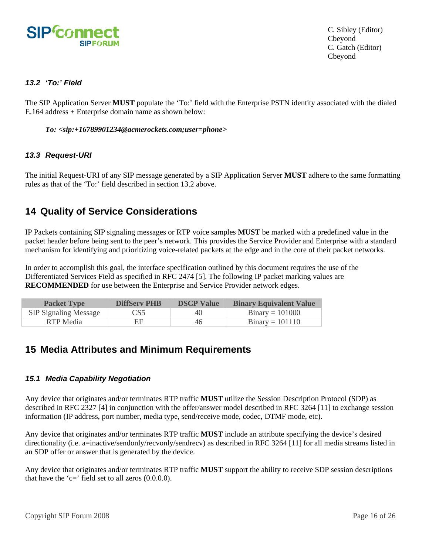<span id="page-15-0"></span>

## *13.2 'To:' Field*

The SIP Application Server **MUST** populate the 'To:' field with the Enterprise PSTN identity associated with the dialed E.164 address + Enterprise domain name as shown below:

#### *To: <sip:+16789901234@acmerockets.com;user=phone>*

#### *13.3 Request-URI*

The initial Request-URI of any SIP message generated by a SIP Application Server **MUST** adhere to the same formatting rules as that of the 'To:' field described in section 13.2 above.

## **14 Quality of Service Considerations**

IP Packets containing SIP signaling messages or RTP voice samples **MUST** be marked with a predefined value in the packet header before being sent to the peer's network. This provides the Service Provider and Enterprise with a standard mechanism for identifying and prioritizing voice-related packets at the edge and in the core of their packet networks.

In order to accomplish this goal, the interface specification outlined by this document requires the use of the Differentiated Services Field as specified in RFC 2474 [5]. The following IP packet marking values are **RECOMMENDED** for use between the Enterprise and Service Provider network edges.

| <b>Packet Type</b>           | <b>DiffServ PHB</b> | <b>DSCP Value</b> | <b>Binary Equivalent Value</b> |
|------------------------------|---------------------|-------------------|--------------------------------|
| <b>SIP Signaling Message</b> | CS5                 | 40                | $Binary = 101000$              |
| RTP Media                    | FF                  | 46                | $Binary = 101110$              |

## **15 Media Attributes and Minimum Requirements**

#### *15.1 Media Capability Negotiation*

Any device that originates and/or terminates RTP traffic **MUST** utilize the Session Description Protocol (SDP) as described in RFC 2327 [4] in conjunction with the offer/answer model described in RFC 3264 [11] to exchange session information (IP address, port number, media type, send/receive mode, codec, DTMF mode, etc).

Any device that originates and/or terminates RTP traffic **MUST** include an attribute specifying the device's desired directionality (i.e. a=inactive/sendonly/recvonly/sendrecv) as described in RFC 3264 [11] for all media streams listed in an SDP offer or answer that is generated by the device.

Any device that originates and/or terminates RTP traffic **MUST** support the ability to receive SDP session descriptions that have the 'c=' field set to all zeros  $(0.0.0.0)$ .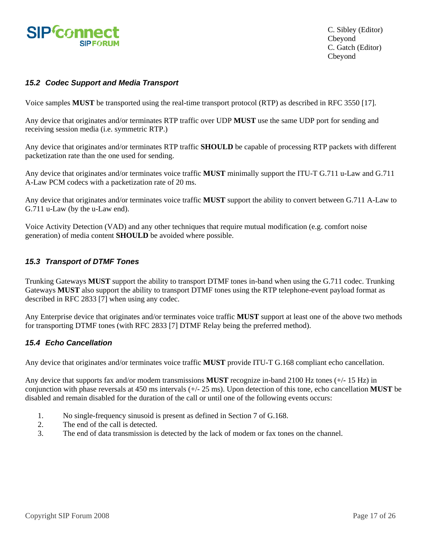<span id="page-16-0"></span>

## *15.2 Codec Support and Media Transport*

Voice samples **MUST** be transported using the real-time transport protocol (RTP) as described in RFC 3550 [17].

Any device that originates and/or terminates RTP traffic over UDP **MUST** use the same UDP port for sending and receiving session media (i.e. symmetric RTP.)

Any device that originates and/or terminates RTP traffic **SHOULD** be capable of processing RTP packets with different packetization rate than the one used for sending.

Any device that originates and/or terminates voice traffic **MUST** minimally support the ITU-T G.711 u-Law and G.711 A-Law PCM codecs with a packetization rate of 20 ms.

Any device that originates and/or terminates voice traffic **MUST** support the ability to convert between G.711 A-Law to G.711 u-Law (by the u-Law end).

Voice Activity Detection (VAD) and any other techniques that require mutual modification (e.g. comfort noise generation) of media content **SHOULD** be avoided where possible.

#### *15.3 Transport of DTMF Tones*

Trunking Gateways **MUST** support the ability to transport DTMF tones in-band when using the G.711 codec. Trunking Gateways **MUST** also support the ability to transport DTMF tones using the RTP telephone-event payload format as described in RFC 2833 [7] when using any codec.

Any Enterprise device that originates and/or terminates voice traffic **MUST** support at least one of the above two methods for transporting DTMF tones (with RFC 2833 [7] DTMF Relay being the preferred method).

### *15.4 Echo Cancellation*

Any device that originates and/or terminates voice traffic **MUST** provide ITU-T G.168 compliant echo cancellation.

Any device that supports fax and/or modem transmissions **MUST** recognize in-band 2100 Hz tones (+/- 15 Hz) in conjunction with phase reversals at 450 ms intervals (+/- 25 ms). Upon detection of this tone, echo cancellation **MUST** be disabled and remain disabled for the duration of the call or until one of the following events occurs:

- 1. No single-frequency sinusoid is present as defined in Section 7 of G.168.
- 2. The end of the call is detected.
- 3. The end of data transmission is detected by the lack of modem or fax tones on the channel.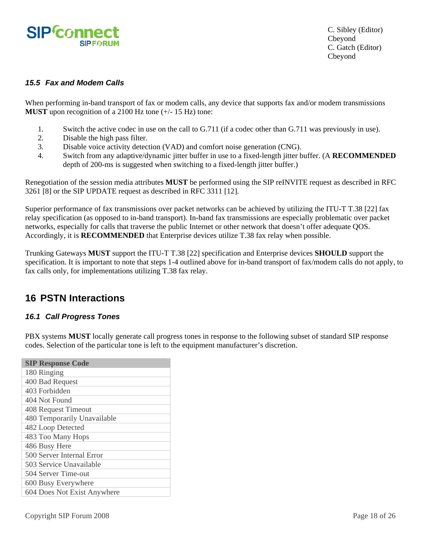<span id="page-17-0"></span>

### *15.5 Fax and Modem Calls*

When performing in-band transport of fax or modem calls, any device that supports fax and/or modem transmissions **MUST** upon recognition of a 2100 Hz tone (+/- 15 Hz) tone:

- 1. Switch the active codec in use on the call to G.711 (if a codec other than G.711 was previously in use).
- 2. Disable the high pass filter.
- 3. Disable voice activity detection (VAD) and comfort noise generation (CNG).
- 4. Switch from any adaptive/dynamic jitter buffer in use to a fixed-length jitter buffer. (A **RECOMMENDED** depth of 200-ms is suggested when switching to a fixed-length jitter buffer.)

Renegotiation of the session media attributes **MUST** be performed using the SIP reINVITE request as described in RFC 3261 [8] or the SIP UPDATE request as described in RFC 3311 [12].

Superior performance of fax transmissions over packet networks can be achieved by utilizing the ITU-T T.38 [22] fax relay specification (as opposed to in-band transport). In-band fax transmissions are especially problematic over packet networks, especially for calls that traverse the public Internet or other network that doesn't offer adequate QOS. Accordingly, it is **RECOMMENDED** that Enterprise devices utilize T.38 fax relay when possible.

Trunking Gateways **MUST** support the ITU-T T.38 [22] specification and Enterprise devices **SHOULD** support the specification. It is important to note that steps 1-4 outlined above for in-band transport of fax/modem calls do not apply, to fax calls only, for implementations utilizing T.38 fax relay.

## **16 PSTN Interactions**

#### *16.1 Call Progress Tones*

PBX systems **MUST** locally generate call progress tones in response to the following subset of standard SIP response codes. Selection of the particular tone is left to the equipment manufacturer's discretion.

| <b>SIP Response Code</b>    |
|-----------------------------|
| 180 Ringing                 |
| 400 Bad Request             |
| 403 Forbidden               |
| 404 Not Found               |
| 408 Request Timeout         |
| 480 Temporarily Unavailable |
| 482 Loop Detected           |
| 483 Too Many Hops           |
| 486 Busy Here               |
| 500 Server Internal Error   |
| 503 Service Unavailable     |
| 504 Server Time-out         |
| 600 Busy Everywhere         |
| 604 Does Not Exist Anywhere |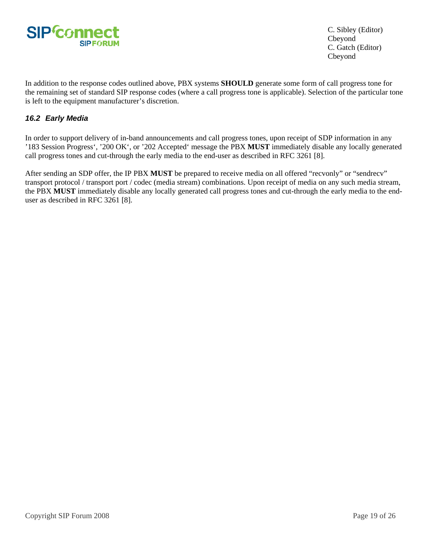<span id="page-18-0"></span>

In addition to the response codes outlined above, PBX systems **SHOULD** generate some form of call progress tone for the remaining set of standard SIP response codes (where a call progress tone is applicable). Selection of the particular tone is left to the equipment manufacturer's discretion.

## *16.2 Early Media*

In order to support delivery of in-band announcements and call progress tones, upon receipt of SDP information in any '183 Session Progress', '200 OK', or '202 Accepted' message the PBX **MUST** immediately disable any locally generated call progress tones and cut-through the early media to the end-user as described in RFC 3261 [8].

After sending an SDP offer, the IP PBX **MUST** be prepared to receive media on all offered "recvonly" or "sendrecv" transport protocol / transport port / codec (media stream) combinations. Upon receipt of media on any such media stream, the PBX **MUST** immediately disable any locally generated call progress tones and cut-through the early media to the enduser as described in RFC 3261 [8].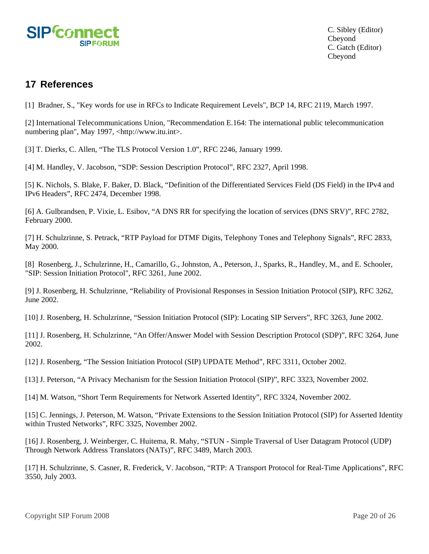<span id="page-19-0"></span>

## **17 References**

[1] Bradner, S., "Key words for use in RFCs to Indicate Requirement Levels", BCP 14, RFC 2119, March 1997.

[2] International Telecommunications Union, "Recommendation E.164: The international public telecommunication numbering plan", May 1997, <http://www.itu.int>.

[3] T. Dierks, C. Allen, "The TLS Protocol Version 1.0", RFC 2246, January 1999.

[4] M. Handley, V. Jacobson, "SDP: Session Description Protocol", RFC 2327, April 1998.

[5] K. Nichols, S. Blake, F. Baker, D. Black, "Definition of the Differentiated Services Field (DS Field) in the IPv4 and IPv6 Headers", RFC 2474, December 1998.

[6] A. Gulbrandsen, P. Vixie, L. Esibov, "A DNS RR for specifying the location of services (DNS SRV)", RFC 2782, February 2000.

[7] H. Schulzrinne, S. Petrack, "RTP Payload for DTMF Digits, Telephony Tones and Telephony Signals", RFC 2833, May 2000.

[8] Rosenberg, J., Schulzrinne, H., Camarillo, G., Johnston, A., Peterson, J., Sparks, R., Handley, M., and E. Schooler, "SIP: Session Initiation Protocol", RFC 3261, June 2002.

[9] J. Rosenberg, H. Schulzrinne, "Reliability of Provisional Responses in Session Initiation Protocol (SIP), RFC 3262, June 2002.

[10] J. Rosenberg, H. Schulzrinne, "Session Initiation Protocol (SIP): Locating SIP Servers", RFC 3263, June 2002.

[11] J. Rosenberg, H. Schulzrinne, "An Offer/Answer Model with Session Description Protocol (SDP)", RFC 3264, June 2002.

[12] J. Rosenberg, "The Session Initiation Protocol (SIP) UPDATE Method", RFC 3311, October 2002.

[13] J. Peterson, "A Privacy Mechanism for the Session Initiation Protocol (SIP)", RFC 3323, November 2002.

[14] M. Watson, "Short Term Requirements for Network Asserted Identity", RFC 3324, November 2002.

[15] C. Jennings, J. Peterson, M. Watson, "Private Extensions to the Session Initiation Protocol (SIP) for Asserted Identity within Trusted Networks", RFC 3325, November 2002.

[16] J. Rosenberg, J. Weinberger, C. Huitema, R. Mahy, "STUN - Simple Traversal of User Datagram Protocol (UDP) Through Network Address Translators (NATs)", RFC 3489, March 2003.

[17] H. Schulzrinne, S. Casner, R. Frederick, V. Jacobson, "RTP: A Transport Protocol for Real-Time Applications", RFC 3550, July 2003.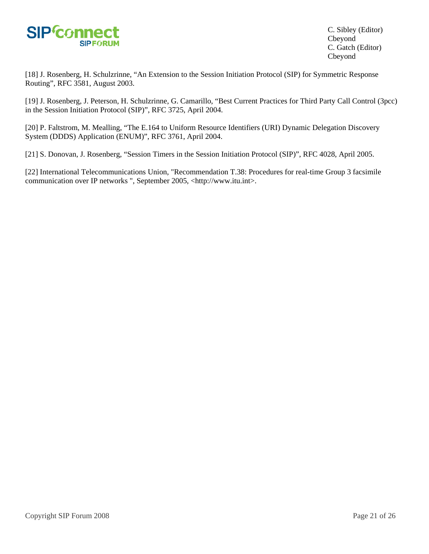

[18] J. Rosenberg, H. Schulzrinne, "An Extension to the Session Initiation Protocol (SIP) for Symmetric Response Routing", RFC 3581, August 2003.

[19] J. Rosenberg, J. Peterson, H. Schulzrinne, G. Camarillo, "Best Current Practices for Third Party Call Control (3pcc) in the Session Initiation Protocol (SIP)", RFC 3725, April 2004.

[20] P. Faltstrom, M. Mealling, "The E.164 to Uniform Resource Identifiers (URI) Dynamic Delegation Discovery System (DDDS) Application (ENUM)", RFC 3761, April 2004.

[21] S. Donovan, J. Rosenberg, "Session Timers in the Session Initiation Protocol (SIP)", RFC 4028, April 2005.

[22] International Telecommunications Union, "Recommendation T.38: Procedures for real-time Group 3 facsimile communication over IP networks ", September 2005, <http://www.itu.int>.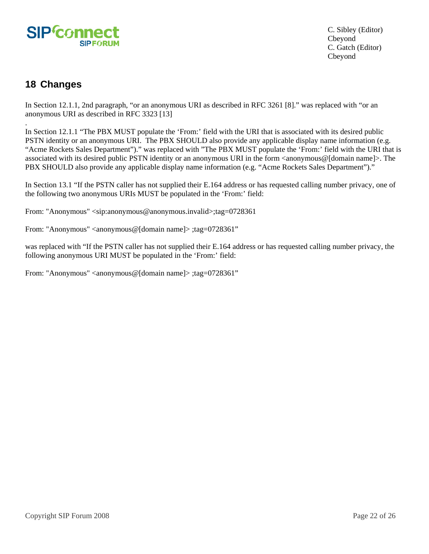<span id="page-21-0"></span>

## **18 Changes**

.

In Section 12.1.1, 2nd paragraph, "or an anonymous URI as described in RFC 3261 [8]." was replaced with "or an anonymous URI as described in RFC 3323 [13]

In Section 12.1.1 "The PBX MUST populate the 'From:' field with the URI that is associated with its desired public PSTN identity or an anonymous URI. The PBX SHOULD also provide any applicable display name information (e.g. "Acme Rockets Sales Department")." was replaced with "The PBX MUST populate the 'From:' field with the URI that is associated with its desired public PSTN identity or an anonymous URI in the form <anonymous@[domain name]>. The PBX SHOULD also provide any applicable display name information (e.g. "Acme Rockets Sales Department")."

In Section 13.1 "If the PSTN caller has not supplied their E.164 address or has requested calling number privacy, one of the following two anonymous URIs MUST be populated in the 'From:' field:

From: "Anonymous" <sip:anonymous@anonymous.invalid>;tag=0728361

From: "Anonymous" <anonymous@[domain name]> ;tag=0728361"

was replaced with "If the PSTN caller has not supplied their E.164 address or has requested calling number privacy, the following anonymous URI MUST be populated in the 'From:' field:

From: "Anonymous" <anonymous@[domain name]> ;tag=0728361"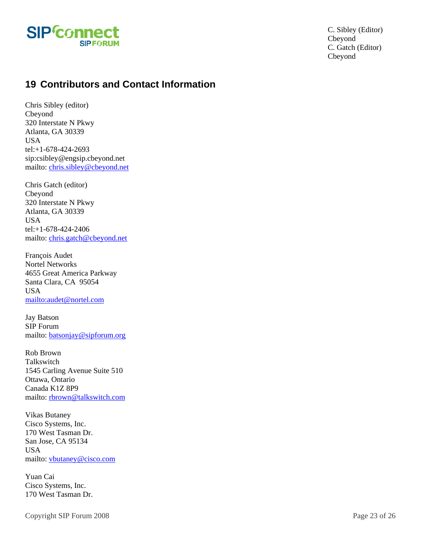<span id="page-22-0"></span>

## **19 Contributors and Contact Information**

Chris Sibley (editor) Cbeyond 320 Interstate N Pkwy Atlanta, GA 30339 USA tel:+1-678-424-2693 sip:csibley@engsip.cbeyond.net mailto: [chris.sibley@cbeyond.net](mailto:chris.sibley@cbeyond.net)

Chris Gatch (editor) Cbeyond 320 Interstate N Pkwy Atlanta, GA 30339 USA tel:+1-678-424-2406 mailto: [chris.gatch@cbeyond.net](mailto:chris.gatch@cbeyond.net)

François Audet Nortel Networks 4655 Great America Parkway Santa Clara, CA 95054 USA <mailto:audet@nortel.com>

Jay Batson SIP Forum mailto: [batsonjay@sipforum.org](mailto:batsonjay@sipforum.org)

Rob Brown Talkswitch 1545 Carling Avenue Suite 510 Ottawa, Ontario Canada K1Z 8P9 mailto: [rbrown@talkswitch.com](mailto:rbrown@talkswitch.com) 

Vikas Butaney Cisco Systems, Inc. 170 West Tasman Dr. San Jose, CA 95134 USA mailto: [vbutaney@cisco.com](mailto:vbutaney@cisco.com)

Yuan Cai Cisco Systems, Inc. 170 West Tasman Dr.

Copyright SIP Forum 2008 Page 23 of 26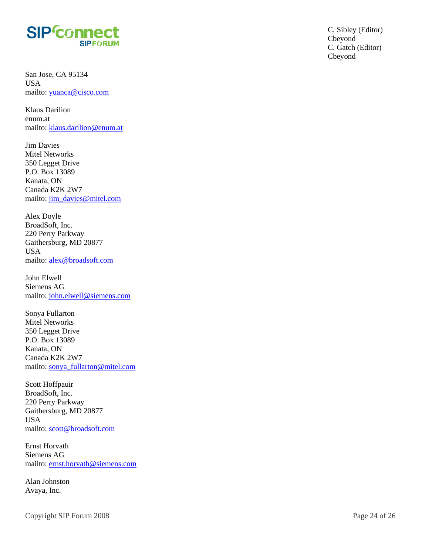

San Jose, CA 95134 USA mailto: [yuanca@cisco.com](mailto:yuanca@cisco.com)

Klaus Darilion enum.at mailto: [klaus.darilion@enum.at](mailto:klaus.darilion@enum.at)

Jim Davies Mitel Networks 350 Legget Drive P.O. Box 13089 Kanata, ON Canada K2K 2W7 mailto: [jim\\_davies@mitel.com](mailto:jim_davies@mitel.com)

Alex Doyle BroadSoft, Inc. 220 Perry Parkway Gaithersburg, MD 20877 USA mailto: [alex@broadsoft.com](mailto:alex@broadsoft.com)

John Elwell Siemens AG mailto: [john.elwell@siemens.com](mailto:john.elwell@siemens.com)

Sonya Fullarton Mitel Networks 350 Legget Drive P.O. Box 13089 Kanata, ON Canada K2K 2W7 mailto: [sonya\\_fullarton@mitel.com](mailto:sonya_fullarton@mitel.com)

Scott Hoffpauir BroadSoft, Inc. 220 Perry Parkway Gaithersburg, MD 20877 USA mailto: [scott@broadsoft.com](mailto:scott@broadsoft.com)

Ernst Horvath Siemens AG mailto: [ernst.horvath@siemens.com](mailto:ernst.horvath@siemens.com)

Alan Johnston Avaya, Inc.

Copyright SIP Forum 2008 Page 24 of 26

C. Gatch (Editor) Cbeyond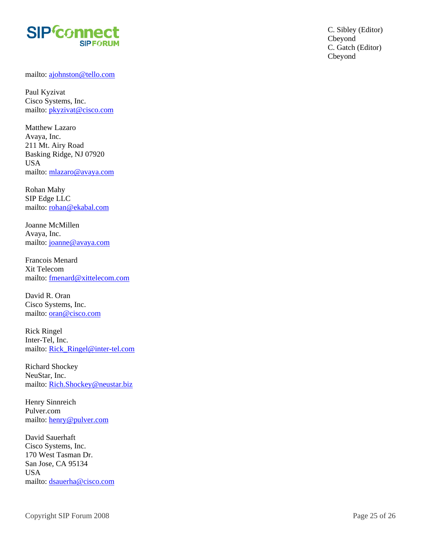

mailto: [ajohnston@tello.com](mailto:ajohnston@tello.com)

Paul Kyzivat Cisco Systems, Inc. mailto: [pkyzivat@cisco.com](mailto:pkyzivat@cisco.com)

Matthew Lazaro Avaya, Inc. 211 Mt. Airy Road Basking Ridge, NJ 07920 USA mailto: [mlazaro@avaya.com](mailto:mlazaro@avaya.com)

Rohan Mahy SIP Edge LLC mailto: [rohan@ekabal.com](mailto:rohan@ekabal.com)

Joanne McMillen Avaya, Inc. mailto: [joanne@avaya.com](mailto:joanne@avaya.com)

Francois Menard Xit Telecom mailto: [fmenard@xittelecom.com](mailto:fmenard@xittelecom.com)

David R. Oran Cisco Systems, Inc. mailto: [oran@cisco.com](mailto:oran@cisco.com)

Rick Ringel Inter-Tel, Inc. mailto: [Rick\\_Ringel@inter-tel.com](mailto:Rick_Ringel@inter-tel.com)

Richard Shockey NeuStar, Inc. mailto: [Rich.Shockey@neustar.biz](mailto:Rich.Shockey@neustar.biz)

Henry Sinnreich Pulver.com mailto: [henry@pulver.com](mailto:henry@pulver.com)

David Sauerhaft Cisco Systems, Inc. 170 West Tasman Dr. San Jose, CA 95134 USA mailto: [dsauerha@cisco.com](mailto:dsauerha@cisco.com) C. Gatch (Editor) Cbeyond